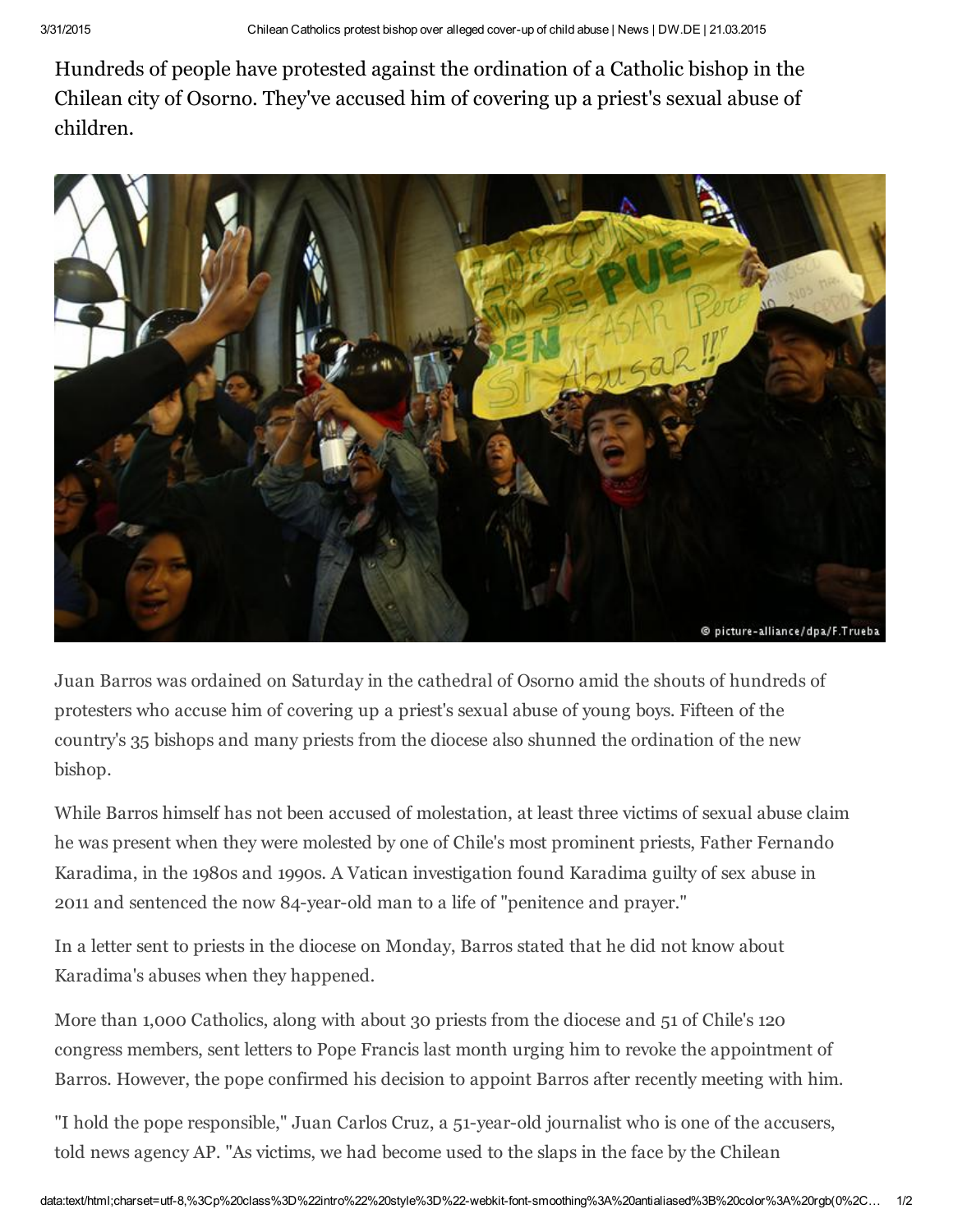Hundreds of people have protested against the ordination of a Catholic bishop in the Chilean city of Osorno. They've accused him of covering up a priest's sexual abuse of children.



Juan Barros was ordained on Saturday in the cathedral of Osorno amid the shouts of hundreds of protesters who accuse him of covering up a priest's sexual abuse of young boys. Fifteen of the country's 35 bishops and many priests from the diocese also shunned the ordination of the new bishop.

While Barros himself has not been accused of molestation, at least three victims of sexual abuse claim he was present when they were molested by one of Chile's most prominent priests, Father Fernando Karadima, in the 1980s and 1990s. A Vatican investigation found Karadima guilty of sex abuse in 2011 and sentenced the now 84-year-old man to a life of "penitence and prayer."

In a letter sent to priests in the diocese on Monday, Barros stated that he did not know about Karadima's abuses when they happened.

More than 1,000 Catholics, along with about 30 priests from the diocese and 51 of Chile's 120 congress members, sent letters to Pope Francis last month urging him to revoke the appointment of Barros. However, the pope confirmed his decision to appoint Barros after recently meeting with him.

"I hold the pope responsible," Juan Carlos Cruz, a 51-year-old journalist who is one of the accusers, told news agency AP. "As victims, we had become used to the slaps in the face by the Chilean